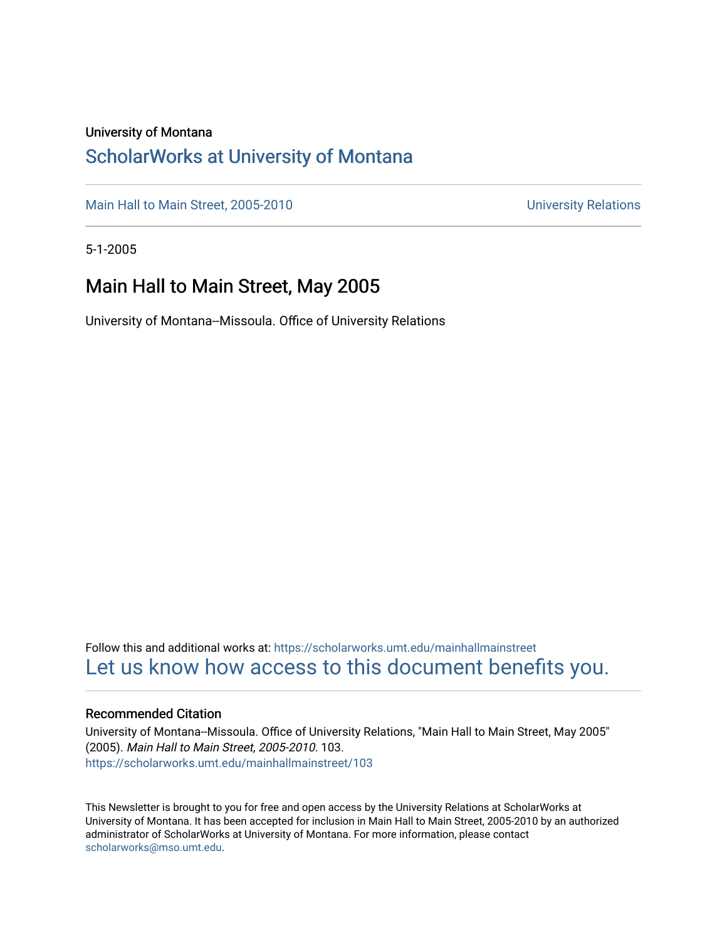### University of Montana

### [ScholarWorks at University of Montana](https://scholarworks.umt.edu/)

[Main Hall to Main Street, 2005-2010](https://scholarworks.umt.edu/mainhallmainstreet) Main Hall to Main Street, 2005-2010

5-1-2005

### Main Hall to Main Street, May 2005

University of Montana--Missoula. Office of University Relations

Follow this and additional works at: [https://scholarworks.umt.edu/mainhallmainstreet](https://scholarworks.umt.edu/mainhallmainstreet?utm_source=scholarworks.umt.edu%2Fmainhallmainstreet%2F103&utm_medium=PDF&utm_campaign=PDFCoverPages) [Let us know how access to this document benefits you.](https://goo.gl/forms/s2rGfXOLzz71qgsB2) 

### Recommended Citation

University of Montana--Missoula. Office of University Relations, "Main Hall to Main Street, May 2005" (2005). Main Hall to Main Street, 2005-2010. 103. [https://scholarworks.umt.edu/mainhallmainstreet/103](https://scholarworks.umt.edu/mainhallmainstreet/103?utm_source=scholarworks.umt.edu%2Fmainhallmainstreet%2F103&utm_medium=PDF&utm_campaign=PDFCoverPages)

This Newsletter is brought to you for free and open access by the University Relations at ScholarWorks at University of Montana. It has been accepted for inclusion in Main Hall to Main Street, 2005-2010 by an authorized administrator of ScholarWorks at University of Montana. For more information, please contact [scholarworks@mso.umt.edu.](mailto:scholarworks@mso.umt.edu)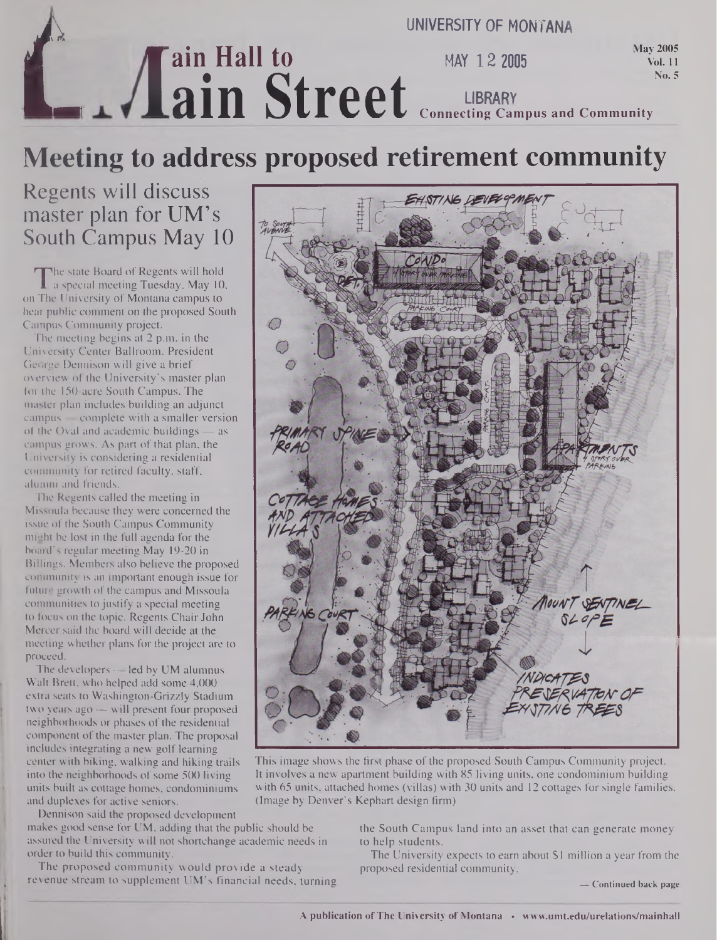

## **Meeting to address proposed retirement community**

## Regents will discuss master plan for UM's South Campus May 10

The state Board of Regents will hold<br>a special meeting Tuesday, May 10,<br>The University of Montana campus to The state Board of Regents will hold a special meeting Tuesday, May 10, hear public comment on the proposed South Campus Community project.

The meeting begins at 2 p.m. in the University Center Ballroom. President George Dennison will give a brief overview of the University's master plan for the 150-acre South Campus. The master plan includes building an adjunct campus — complete with a smaller version of the Oval and academic buildings — as campus grows. As part of that plan, the University is considering a residential community for retired faculty, staff, alumni and friends.

The Regents called the meeting in Missoula because they were concerned the issue of the South Campus Community might be lost in the full agenda for the board's regular meeting May 19-20 in Billings. Members also believe the proposed community is an important enough issue for future growth of the campus and Missoula communities to justify a special meeting to focus on the topic. Regents Chair John Mercer said the board will decide at the meeting whether plans for the project are to proceed.

The developers — led by UM alumnus Walt Brett, who helped add some 4,000 extra seats to Washington-Grizzly Stadium two years ago — will present four proposed neighborhoods or phases of the residential component of the master plan. The proposal includes integrating a new golf learning center with biking, walking and hiking trails into the neighborhoods of some 500 living units built as cottage homes, condominiums and duplexes for active seniors.

Dennison said the proposed development

makes good sense for UM, adding that the public should be assured the University will not shortchange academic needs in order to build this community.

The proposed community would provide a steady revenue stream to supplement UM's financial needs, turning



This image shows the first phase of the proposed South Campus Community project. It involves a new apartment building with 85 living units, one condominium building with 65 units, attached homes (villas) with 30 units and 12 cottages for single families. (Image by Denver's Kephart design firm)

the South Campus land into an asset that can generate money to help students.

The University expects to earn about \$1 million a year from the proposed residential community,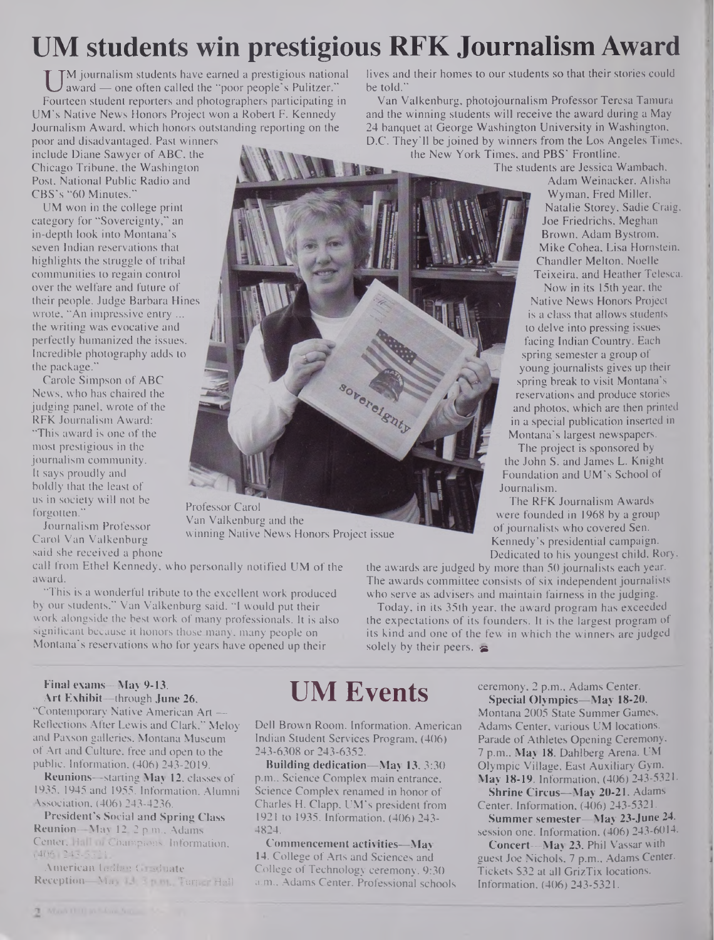# **UM students win prestigious RFK Journalism Award**

U <sup>M</sup> Journalism students have earned a prestigious national<br>Fourteen student reporters and photographers participating in M journalism students have earned a prestigious national award — one often called the "poor people's Pulitzer." UM's Native News Honors Project won a Robert F. Kennedy Journalism Award, which honors outstanding reporting on the

poor and disadvantaged. Past winners include Diane Sawyer of ABC, the Chicago Tribune, the Washington Post, National Public Radio and CBS's "60 Minutes."

UM won in the college print category for "Sovereignty," an in-depth look into Montana's seven Indian reservations that highlights the struggle of tribal communities to regain control over the welfare and future of their people. Judge Barbara Hines wrote, "An impressive entry ... the writing was evocative and perfectly humanized the issues. Incredible photography adds to the package."

Carole Simpson of ABC News, who has chaired the judging panel, wrote of the RFK Journalism Award: "This award is one of the most prestigious in the journalism community. It says proudly and boldly that the least of us in society will not be forgotten."

Journalism Professor Carol Van Valkenburg said she received a phone lives and their homes to our students so that their stories could be told."

Van Valkenburg, photojournalism Professor Teresa Tamura and the winning students will receive the award during a May 24 banquet at George Washington University in Washington, D.C. They'll be joined by winners from the Los Angeles Times, the New York Times, and PBS' Frontline.

The students are Jessica Wambach, soverelenty

Professor Carol Van Valkenburg and the winning Native News Honors Project issue

call from Ethel Kennedy, who personally notified UM of the award.

"This is a wonderful tribute to the excellent work produced by our students," Van Valkenburg said. "I would put their work alongside the best work of many professionals. It is also significant because it honors those many, many people on Montana's reservations who for years have opened up their

**UM Events**

Dell Brown Room. Information, American Indian Student Services Program, (406) 243-6308 or 243-6352.

**Building dedication—May 13,** 3:30 p.m., Science Complex main entrance, Science Complex renamed in honor of Charles H. Clapp, UM's president from 1921 to 1935. Information, (406) 243- 4824.

**Commencement activities—May 14.** College of Arts and Sciences and College of Technology ceremony, 9:30 a.m., Adams Center. Professional schools

Adam Weinacker, Alisha Wyman, Fred Miller, Natalie Storey, Sadie Craig, Joe Friedrichs, Meghan Brown, Adam Bystrom, Mike Cohea, Lisa Hornstein, Chandler Melton, Noelle Teixeira, and Heather Telesca. Now in its 15th year, the Native News Honors Project

is a class that allows students to delve into pressing issues facing Indian Country. Each spring semester a group of young journalists gives up their spring break to visit Montana's reservations and produce stories and photos, which are then printed in a special publication inserted in Montana's largest newspapers.

The project is sponsored by the John S. and James L. Knight Foundation and UM's School of Journalism.

The RFK Journalism Awards were founded in 1968 by a group of journalists who covered Sen. Kennedy's presidential campaign. Dedicated to his youngest child, Rory,

the awards are judged by more than 50 journalists each year. The awards committee consists of six independent journalists who serve as advisers and maintain fairness in the judging.

Today, in its 35th year, the award program has exceeded the expectations of its founders. It is the largest program of its kind and one of the few in which the winners are judged solely by their peers.  $\approx$ 

> ceremony, 2 p.m., Adams Center. **Special Olympics—May 18-20,** Montana 2005 State Summer Games, Adams Center, various UM locations. Parade of Athletes Opening Ceremony, 7 p.m.. **May 18,** Dahlberg Arena. UM Olympic Village, East Auxiliary Gym, **May 18-19.** Information, (406) 243-5321.

**Shrine Circus—May 20-21,** Adams Center. Information, (406) 243-5321.

**Summer semester—May 23-June 24,** session one. Information, (406) 243-6014.

**Concert—May 23,** Phil Vassar with guest Joe Nichols, 7 p.m., Adams Center. Tickets \$32 at all GrizTix locations. Information, (406) 243-5321.

#### **Final exams—May 9-13. Art Exhibit—**through **June 26,**

"Contemporary Native American Art — Reflections After Lewis and Clark," Meloy and Paxson galleries, Montana Museum of Art and Culture, free and open to the public. Information, (406) 243-2019.

**Reunions—**starting **May 12,** classes of 1935, 1945 and 1955. Information, Alumni Association, (406) 243-4236.

President's Social and Spring Class Reunion—May 12, 2 p.m., Adams Center, Hail of Champions. Information, (406) 243-5321.

**American Indian Graduate Reception—May 13,** 3 p.m.. Turner Hall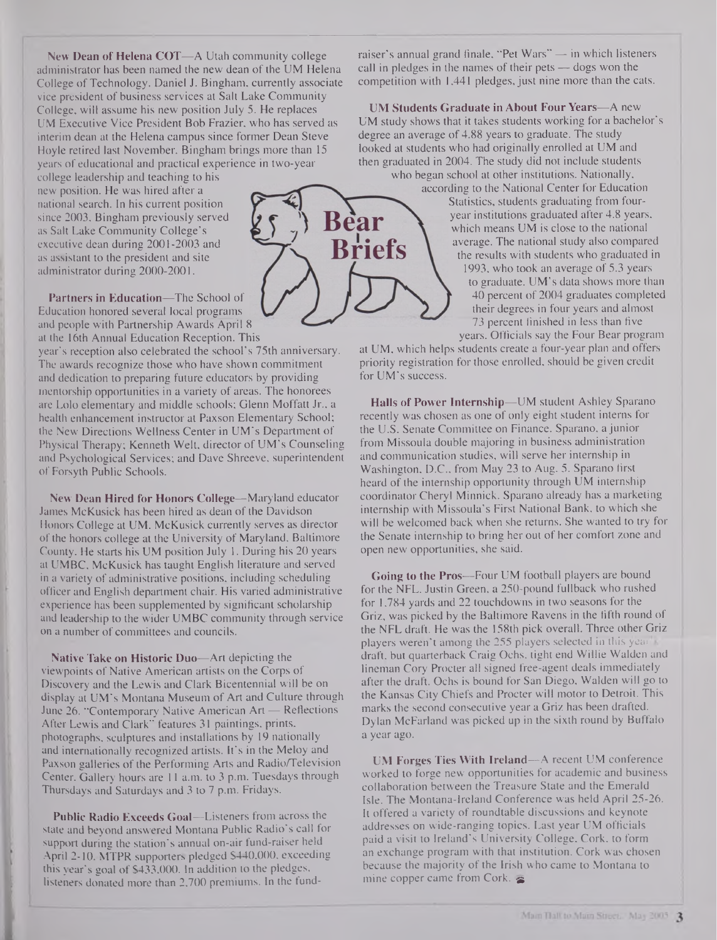**New Dean of Helena COT—**A Utah community college administrator has been named the new dean of the UM Helena College of Technology. Daniel J. Bingham, currently associate vice president of business services at Salt Lake Community College, will assume his new position July 5. He replaces UM Executive Vice President Bob Frazier, who has served as interim dean at the Helena campus since former Dean Steve Hoyle retired last November. Bingham brings more than 15 years of educational and practical experience in two-year

college leadership and teaching to his new position. He was hired after a national search. In his current position since 2003, Bingham previously served as Salt Lake Community College's executive dean during 2001-2003 and as assistant to the president and site administrator during 2000-2001.

Partners in Education—The School of Education honored several local programs and people with Partnership Awards April 8 at the 16th Annual Education Reception. This

year's reception also celebrated the school's 75th anniversary. The awards recognize those who have shown commitment and dedication to preparing future educators by providing mentorship opportunities in a variety of areas. The honorees are Lolo elementary and middle schools; Glenn Moffatt Jr., a health enhancement instructor at Paxson Elementary School; the New Directions Wellness Center in UM's Department of Physical Therapy; Kenneth Welt, director of UM's Counseling and Psychological Services; and Dave Shreeve, superintendent of Forsyth Public Schools.

New Dean Hired for Honors College—Maryland educator James McKusick has been hired as dean of the Davidson Honors College at UM. McKusick currently serves as director of the honors college at the University of Maryland, Baltimore County. He starts his UM position July 1. During his 20 years at UMBC, McKusick has taught English literature and served in a variety of administrative positions, including scheduling officer and English department chair. His varied administrative experience has been supplemented by significant scholarship and leadership to the wider UMBC community through service on a number of committees and councils.

Native Take on Historic Duo—Art depicting the viewpoints of Native American artists on the Corps of Discovery and the Lewis and Clark Bicentennial will be on display at UM's Montana Museum of Art and Culture through June 26. "Contemporary Native American Art — Reflections After Lewis and Clark" features 31 paintings, prints, photographs, sculptures and installations by 19 nationally and internationally recognized artists. It's in the Meloy and Paxson galleries of the Performing Arts and Radio/Television Center. Gallery hours are 11 a.m. to 3 p.m. Tuesdays through Thursdays and Saturdays and 3 to 7 p.m. Fridays.

Public Radio Exceeds Goal—Listeners from across the state and beyond answered Montana Public Radio's call for support during the station's annual on-air fund-raiser held April 2-10. MTPR supporters pledged \$440,000, exceeding this year's goal of \$433,000. In addition to the pledges, listeners donated more than 2,700 premiums. In the fundraiser's annual grand finale, "Pet Wars" — in which listeners call in pledges in the names of their pets — dogs won the competition with 1,441 pledges, just nine more than the cats.

UM Students Graduate in About Four Years—A new UM study shows that it takes students working for a bachelor's degree an average of 4.88 years to graduate. The study looked at students who had originally enrolled at UM and then graduated in 2004. The study did not include students who began school at other institutions. Nationally,

according to the National Center for Education Statistics, students graduating from fouryear institutions graduated after 4.8 years, which means UM is close to the national average. The national study also compared the results with students who graduated in 1993, who took an average of 5.3 years to graduate. UM's data shows more than 40 percent of 2004 graduates completed their degrees in four years and almost 73 percent finished in less than five years. Officials say the Four Bear program

at UM, which helps students create a four-year plan and offers priority registration for those enrolled, should be given credit for UM's success.

Halls of Power Internship—UM student Ashley Sparano recently was chosen as one of only eight student interns for the U.S. Senate Committee on Finance. Sparano, a junior from Missoula double majoring in business administration and communication studies, will serve her internship in Washington, D.C., from May 23 to Aug. 5. Sparano first heard of the internship opportunity through UM internship coordinator Cheryl Minnick. Sparano already has a marketing internship with Missoula's First National Bank, to which she will be welcomed back when she returns. She wanted to try for the Senate internship to bring her out of her comfort zone and open new opportunities, she said.

Going to the Pros—Four UM football players are bound for the NFL. Justin Green, a 250-pound fullback who rushed for 1,784 yards and 22 touchdowns in two seasons for the Griz, was picked by the Baltimore Ravens in the fifth round of the NFL draft. He was the 158th pick overall. Three other Griz players weren't among the 255 players selected in this year draft, but quarterback Craig Ochs, tight end Willie Walden and lineman Cory Procter all signed free-agent deals immediately after the draft. Ochs is bound for San Diego, Walden will go to the Kansas City Chiefs and Procter will motor to Detroit. This marks the second consecutive year a Griz has been drafted. Dylan McFarland was picked up in the sixth round by Buffalo a year ago.

UM Forges Ties With Ireland—A recent UM conference worked to forge new opportunities for academic and business collaboration between the Treasure State and the Emerald Isle. The Montana-Ireland Conference was held April 25-26. It offered a variety of roundtable discussions and keynote addresses on wide-ranging topics. Last year UM officials paid a visit to Ireland's University College, Cork, to form an exchange program with that institution. Cork was chosen because the majority of the Irish who came to Montana to mine copper came from Cork,  $\epsilon$